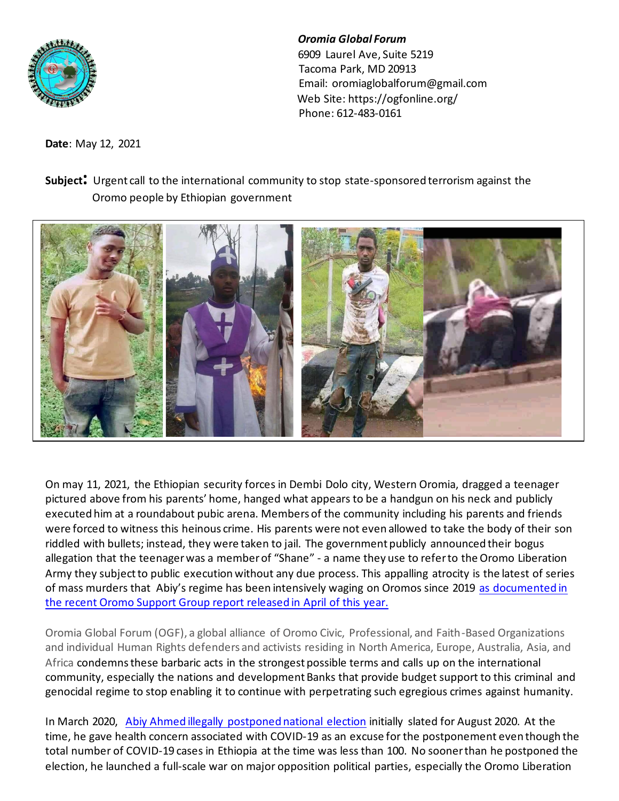

*Oromia Global Forum* 6909 Laurel Ave, Suite 5219 Tacoma Park, MD 20913 Email[: oromiaglobalforum@gmail.com](mailto:oromiaglobalforum@gmail.com) Web Site:<https://ogfonline.org/> Phone: 612-483-0161

**Date**: May 12, 2021

## **Subject:** Urgent call to the international community to stop state-sponsored terrorism against the Oromo people by Ethiopian government



On may 11, 2021, the Ethiopian security forces in Dembi Dolo city, Western Oromia, dragged a teenager pictured above from his parents' home, hanged what appears to be a handgun on his neck and publicly executed him at a roundabout pubic arena. Members of the community including his parents and friends were forced to witness this heinous crime. His parents were not even allowed to take the body of their son riddled with bullets; instead, they were taken to jail. The government publicly announced their bogus allegation that the teenager was a member of "Shane" - a name they use to refer to the Oromo Liberation Army they subject to public execution without any due process. This appalling atrocity is the latest of series of mass murders that Abiy's regime has been intensively waging on Oromos since 2019 as documented in the [recent Oromo Support Group report](about:blank) released in April of this year.

Oromia Global Forum (OGF), a global alliance of Oromo Civic, Professional, and Faith-Based Organizations and individual Human Rights defenders and activists residing in North America, Europe, Australia, Asia, and Africa condemns these barbaric acts in the strongest possible terms and calls up on the international community, especially the nations and development Banks that provide budget support to this criminal and genocidal regime to stop enabling it to continue with perpetrating such egregious crimes against humanity.

In March 2020, [Abiy Ahmed illegally postponed national election](about:blank) initially slated for August 2020. At the time, he gave health concern associated with COVID-19 as an excuse for the postponement even though the total number of COVID-19 cases in Ethiopia at the time was less than 100. No sooner than he postponed the election, he launched a full-scale war on major opposition political parties, especially the Oromo Liberation